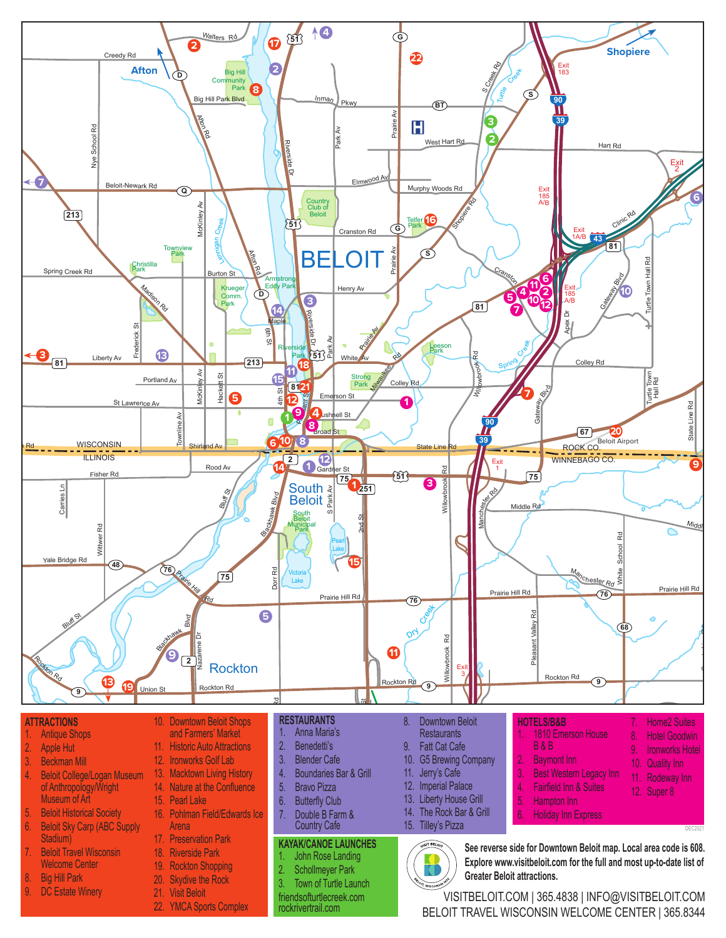

BELOIT TRAVEL WISCONSIN WELCOME CENTER | 365.8344